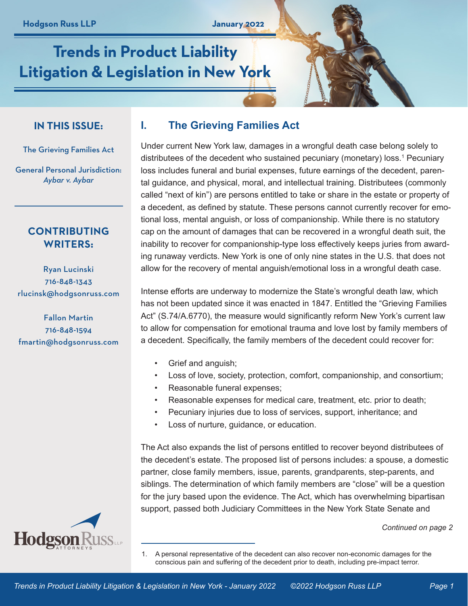# **Trends in Product Liability Litigation & Legislation in New York**

## **IN THIS ISSUE:**

The Grieving Families Act

General Personal Jurisdiction: *Aybar v. Aybar*

# **CONTRIBUTING WRITERS:**

Ryan Lucinski 716-848-1343 rlucinsk@hodgsonruss.com

Fallon Martin 716-848-1594 fmartin@hodgsonruss.com

# **I. The Grieving Families Act**

Under current New York law, damages in a wrongful death case belong solely to distributees of the decedent who sustained pecuniary (monetary) loss.<sup>1</sup> Pecuniary loss includes funeral and burial expenses, future earnings of the decedent, parental guidance, and physical, moral, and intellectual training. Distributees (commonly called "next of kin") are persons entitled to take or share in the estate or property of a decedent, as defined by statute. These persons cannot currently recover for emotional loss, mental anguish, or loss of companionship. While there is no statutory cap on the amount of damages that can be recovered in a wrongful death suit, the inability to recover for companionship-type loss effectively keeps juries from awarding runaway verdicts. New York is one of only nine states in the U.S. that does not allow for the recovery of mental anguish/emotional loss in a wrongful death case.

Intense efforts are underway to modernize the State's wrongful death law, which has not been updated since it was enacted in 1847. Entitled the "Grieving Families Act" (S.74/A.6770), the measure would significantly reform New York's current law to allow for compensation for emotional trauma and love lost by family members of a decedent. Specifically, the family members of the decedent could recover for:

- Grief and anguish;
- Loss of love, society, protection, comfort, companionship, and consortium;
- Reasonable funeral expenses;
- Reasonable expenses for medical care, treatment, etc. prior to death;
- Pecuniary injuries due to loss of services, support, inheritance; and
- Loss of nurture, guidance, or education.

The Act also expands the list of persons entitled to recover beyond distributees of the decedent's estate. The proposed list of persons includes: a spouse, a domestic partner, close family members, issue, parents, grandparents, step-parents, and siblings. The determination of which family members are "close" will be a question for the jury based upon the evidence. The Act, which has overwhelming bipartisan support, passed both Judiciary Committees in the New York State Senate and

#### *Continued on page 2*

<sup>1.</sup> A personal representative of the decedent can also recover non-economic damages for the conscious pain and suffering of the decedent prior to death, including pre-impact terror.